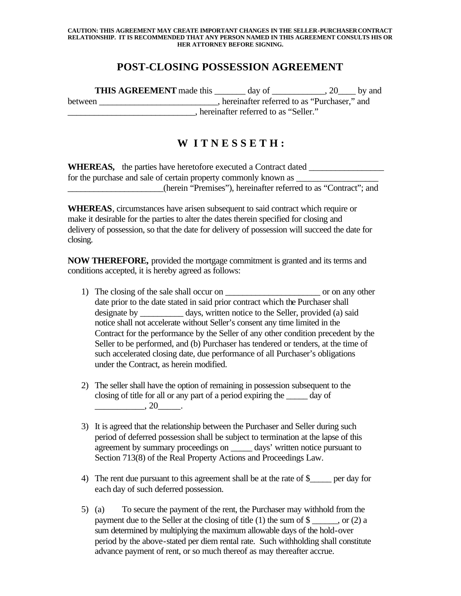## **CAUTION: THIS AGREEMENT MAY CREATE IMPORTANT CHANGES IN THE SELLER-PURCHASER CONTRACT RELATIONSHIP. IT IS RECOMMENDED THAT ANY PERSON NAMED IN THIS AGREEMENT CONSULTS HIS OR HER ATTORNEY BEFORE SIGNING.**

## **POST-CLOSING POSSESSION AGREEMENT**

**THIS AGREEMENT** made this \_\_\_\_\_\_\_ day of \_\_\_\_\_\_\_\_\_\_, 20\_\_\_\_ by and between hereinafter referred to as "Purchaser," and \_\_\_\_\_\_\_\_\_\_\_\_\_\_\_\_\_\_\_\_\_\_\_\_\_\_\_\_\_, hereinafter referred to as "Seller."

## **W I T N E S S E T H :**

| <b>WHEREAS,</b> the parties have heretofore executed a Contract dated |
|-----------------------------------------------------------------------|
| for the purchase and sale of certain property commonly known as       |
| (herein "Premises"), hereinafter referred to as "Contract"; and       |

**WHEREAS**, circumstances have arisen subsequent to said contract which require or make it desirable for the parties to alter the dates therein specified for closing and delivery of possession, so that the date for delivery of possession will succeed the date for closing.

**NOW THEREFORE,** provided the mortgage commitment is granted and its terms and conditions accepted, it is hereby agreed as follows:

- 1) The closing of the sale shall occur on \_\_\_\_\_\_\_\_\_\_\_\_\_\_\_\_\_\_\_\_\_\_ or on any other date prior to the date stated in said prior contract which the Purchaser shall designate by days, written notice to the Seller, provided (a) said notice shall not accelerate without Seller's consent any time limited in the Contract for the performance by the Seller of any other condition precedent by the Seller to be performed, and (b) Purchaser has tendered or tenders, at the time of such accelerated closing date, due performance of all Purchaser's obligations under the Contract, as herein modified.
- 2) The seller shall have the option of remaining in possession subsequent to the closing of title for all or any part of a period expiring the \_\_\_\_\_ day of  $\frac{1}{20}$ , 20
- 3) It is agreed that the relationship between the Purchaser and Seller during such period of deferred possession shall be subject to termination at the lapse of this agreement by summary proceedings on days' written notice pursuant to Section 713(8) of the Real Property Actions and Proceedings Law.
- 4) The rent due pursuant to this agreement shall be at the rate of \$\_\_\_\_\_ per day for each day of such deferred possession.
- 5) (a) To secure the payment of the rent, the Purchaser may withhold from the payment due to the Seller at the closing of title (1) the sum of  $\$ , or (2) a sum determined by multiplying the maximum allowable days of the hold-over period by the above-stated per diem rental rate. Such withholding shall constitute advance payment of rent, or so much thereof as may thereafter accrue.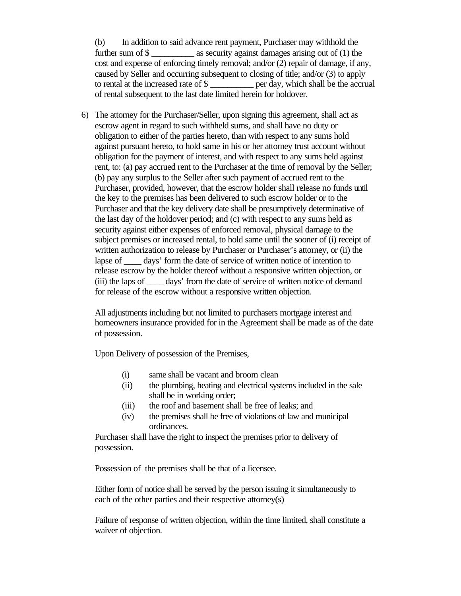(b) In addition to said advance rent payment, Purchaser may withhold the further sum of \$ as security against damages arising out of (1) the cost and expense of enforcing timely removal; and/or (2) repair of damage, if any, caused by Seller and occurring subsequent to closing of title; and/or (3) to apply to rental at the increased rate of \$ \_\_\_\_\_\_\_ per day, which shall be the accrual of rental subsequent to the last date limited herein for holdover.

6) The attorney for the Purchaser/Seller, upon signing this agreement, shall act as escrow agent in regard to such withheld sums, and shall have no duty or obligation to either of the parties hereto, than with respect to any sums hold against pursuant hereto, to hold same in his or her attorney trust account without obligation for the payment of interest, and with respect to any sums held against rent, to: (a) pay accrued rent to the Purchaser at the time of removal by the Seller; (b) pay any surplus to the Seller after such payment of accrued rent to the Purchaser, provided, however, that the escrow holder shall release no funds until the key to the premises has been delivered to such escrow holder or to the Purchaser and that the key delivery date shall be presumptively determinative of the last day of the holdover period; and (c) with respect to any sums held as security against either expenses of enforced removal, physical damage to the subject premises or increased rental, to hold same until the sooner of (i) receipt of written authorization to release by Purchaser or Purchaser's attorney, or (ii) the lapse of \_\_\_\_ days' form the date of service of written notice of intention to release escrow by the holder thereof without a responsive written objection, or (iii) the laps of \_\_\_\_ days' from the date of service of written notice of demand for release of the escrow without a responsive written objection.

All adjustments including but not limited to purchasers mortgage interest and homeowners insurance provided for in the Agreement shall be made as of the date of possession.

Upon Delivery of possession of the Premises,

- (i) same shall be vacant and broom clean
- (ii) the plumbing, heating and electrical systems included in the sale shall be in working order;
- (iii) the roof and basement shall be free of leaks; and
- (iv) the premises shall be free of violations of law and municipal ordinances.

Purchaser shall have the right to inspect the premises prior to delivery of possession.

Possession of the premises shall be that of a licensee.

Either form of notice shall be served by the person issuing it simultaneously to each of the other parties and their respective attorney(s)

Failure of response of written objection, within the time limited, shall constitute a waiver of objection.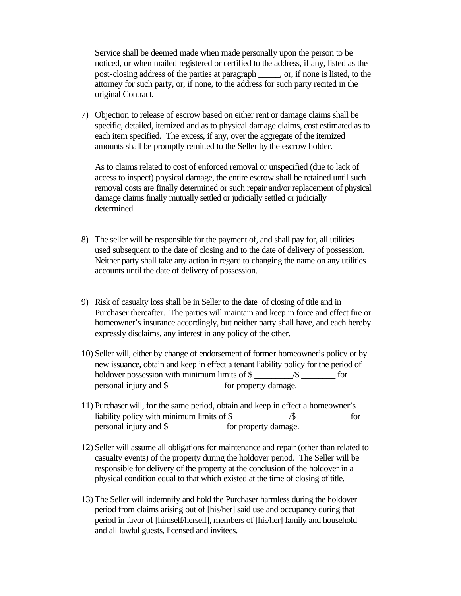Service shall be deemed made when made personally upon the person to be noticed, or when mailed registered or certified to the address, if any, listed as the post-closing address of the parties at paragraph \_\_\_\_\_, or, if none is listed, to the attorney for such party, or, if none, to the address for such party recited in the original Contract.

7) Objection to release of escrow based on either rent or damage claims shall be specific, detailed, itemized and as to physical damage claims, cost estimated as to each item specified. The excess, if any, over the aggregate of the itemized amounts shall be promptly remitted to the Seller by the escrow holder.

As to claims related to cost of enforced removal or unspecified (due to lack of access to inspect) physical damage, the entire escrow shall be retained until such removal costs are finally determined or such repair and/or replacement of physical damage claims finally mutually settled or judicially settled or judicially determined.

- 8) The seller will be responsible for the payment of, and shall pay for, all utilities used subsequent to the date of closing and to the date of delivery of possession. Neither party shall take any action in regard to changing the name on any utilities accounts until the date of delivery of possession.
- 9) Risk of casualty loss shall be in Seller to the date of closing of title and in Purchaser thereafter. The parties will maintain and keep in force and effect fire or homeowner's insurance accordingly, but neither party shall have, and each hereby expressly disclaims, any interest in any policy of the other.
- 10) Seller will, either by change of endorsement of former homeowner's policy or by new issuance, obtain and keep in effect a tenant liability policy for the period of holdover possession with minimum limits of \$ personal injury and \$ \_\_\_\_\_\_\_\_\_\_\_\_ for property damage.
- 11) Purchaser will, for the same period, obtain and keep in effect a homeowner's liability policy with minimum limits of  $\$  / $\$  /s for personal injury and \$  $\qquad \qquad$  for property damage.
- 12) Seller will assume all obligations for maintenance and repair (other than related to casualty events) of the property during the holdover period. The Seller will be responsible for delivery of the property at the conclusion of the holdover in a physical condition equal to that which existed at the time of closing of title.
- 13) The Seller will indemnify and hold the Purchaser harmless during the holdover period from claims arising out of [his/her] said use and occupancy during that period in favor of [himself/herself], members of [his/her] family and household and all lawful guests, licensed and invitees.